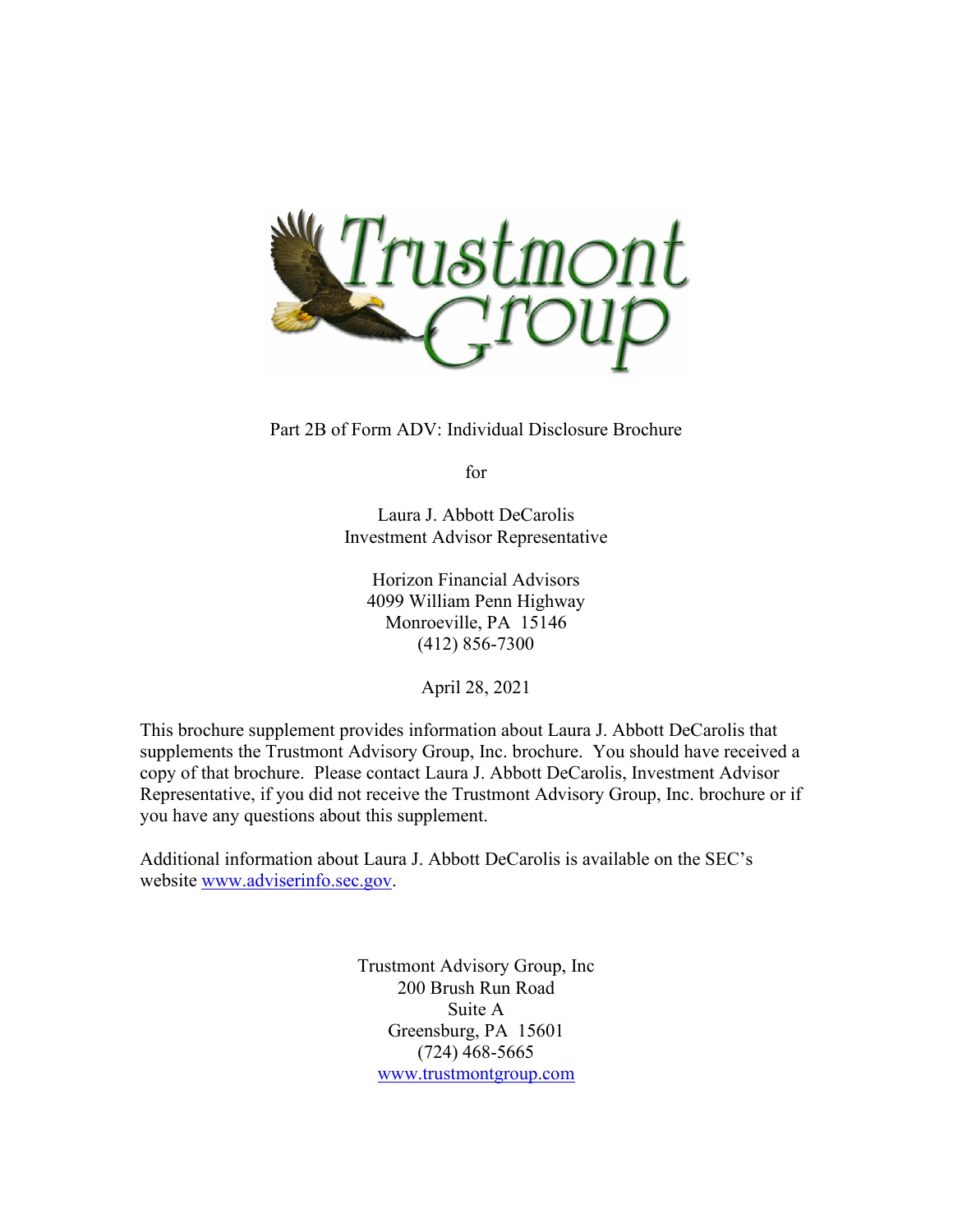

Part 2B of Form ADV: Individual Disclosure Brochure

for

Laura J. Abbott DeCarolis Investment Advisor Representative

Horizon Financial Advisors 4099 William Penn Highway Monroeville, PA 15146 (412) 856-7300

April 28, 2021

This brochure supplement provides information about Laura J. Abbott DeCarolis that supplements the Trustmont Advisory Group, Inc. brochure. You should have received a copy of that brochure. Please contact Laura J. Abbott DeCarolis, Investment Advisor Representative, if you did not receive the Trustmont Advisory Group, Inc. brochure or if you have any questions about this supplement.

Additional information about Laura J. Abbott DeCarolis is available on the SEC's website [www.adviserinfo.sec.gov.](http://www.adviserinfo.sec.gov/)

> Trustmont Advisory Group, Inc 200 Brush Run Road Suite A Greensburg, PA 15601 (724) 468-5665 [www.trustmontgroup.com](http://www.trustmontgroup.com/)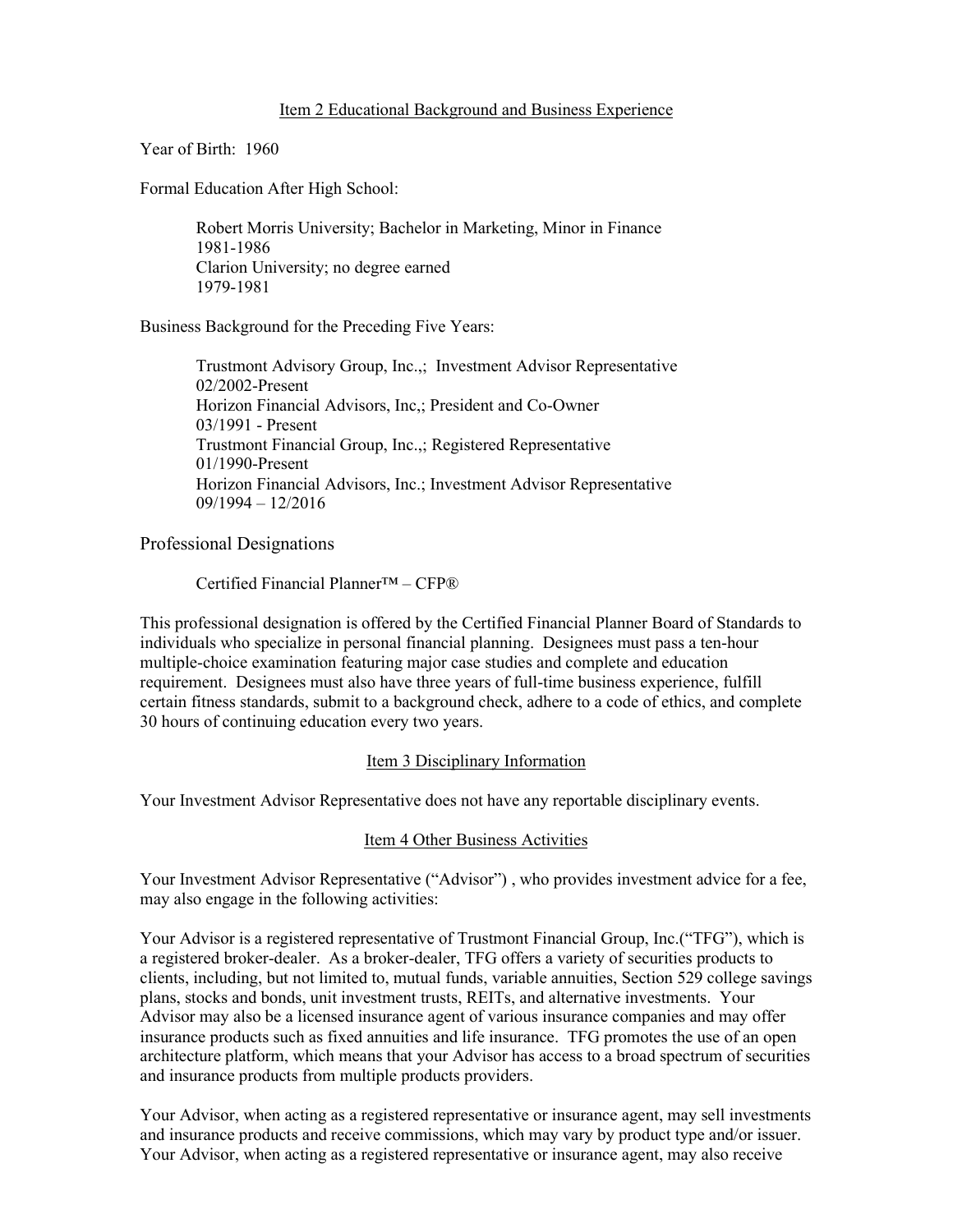Year of Birth: 1960

Formal Education After High School:

Robert Morris University; Bachelor in Marketing, Minor in Finance 1981-1986 Clarion University; no degree earned 1979-1981

Business Background for the Preceding Five Years:

Trustmont Advisory Group, Inc.,; Investment Advisor Representative 02/2002-Present Horizon Financial Advisors, Inc,; President and Co-Owner 03/1991 - Present Trustmont Financial Group, Inc.,; Registered Representative 01/1990-Present Horizon Financial Advisors, Inc.; Investment Advisor Representative 09/1994 – 12/2016

Professional Designations

Certified Financial Planner™ – CFP®

This professional designation is offered by the Certified Financial Planner Board of Standards to individuals who specialize in personal financial planning. Designees must pass a ten-hour multiple-choice examination featuring major case studies and complete and education requirement. Designees must also have three years of full-time business experience, fulfill certain fitness standards, submit to a background check, adhere to a code of ethics, and complete 30 hours of continuing education every two years.

## Item 3 Disciplinary Information

Your Investment Advisor Representative does not have any reportable disciplinary events.

## Item 4 Other Business Activities

Your Investment Advisor Representative ("Advisor") , who provides investment advice for a fee, may also engage in the following activities:

Your Advisor is a registered representative of Trustmont Financial Group, Inc.("TFG"), which is a registered broker-dealer. As a broker-dealer, TFG offers a variety of securities products to clients, including, but not limited to, mutual funds, variable annuities, Section 529 college savings plans, stocks and bonds, unit investment trusts, REITs, and alternative investments. Your Advisor may also be a licensed insurance agent of various insurance companies and may offer insurance products such as fixed annuities and life insurance. TFG promotes the use of an open architecture platform, which means that your Advisor has access to a broad spectrum of securities and insurance products from multiple products providers.

Your Advisor, when acting as a registered representative or insurance agent, may sell investments and insurance products and receive commissions, which may vary by product type and/or issuer. Your Advisor, when acting as a registered representative or insurance agent, may also receive